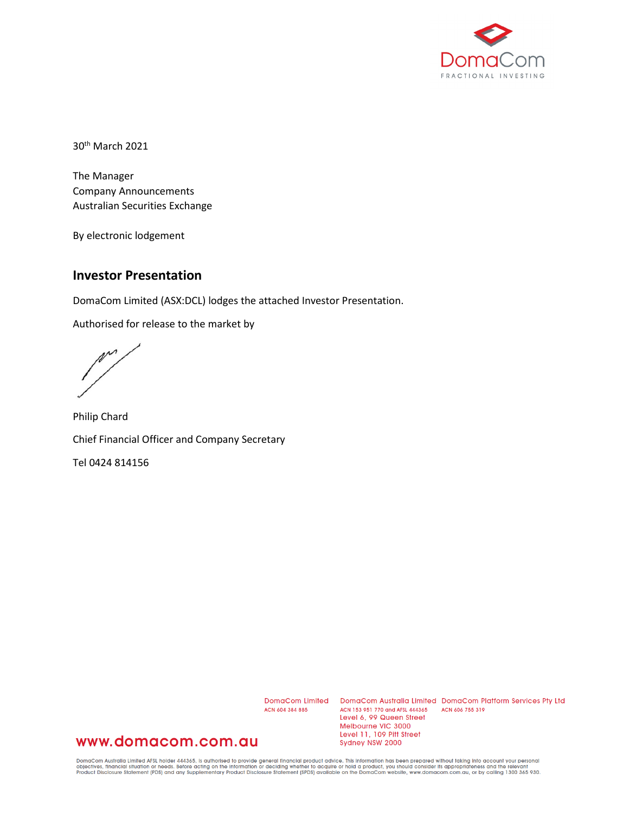

30th March 2021

The Manager Company Announcements Australian Securities Exchange

By electronic lodgement

#### **Investor Presentation**

DomaCom Limited (ASX:DCL) lodges the attached Investor Presentation.

Authorised for release to the market by

 $\mathbb{M}^{\prime}$ 

Philip Chard Chief Financial Officer and Company Secretary

Tel 0424 814156

ACN 604 384 885

DomaCom Limited DomaCom Australia Limited DomaCom Platform Services Pty Ltd ACN 153 951 770 and AFSL 444365 ACN 606 755 319 Level 6, 99 Queen Street Melbourne VIC 3000 Level 11, 109 Pitt Street Sydney NSW 2000

#### www.domacom.com.au

DomaCom Australia Limited AFSL holder 444365, is authorised to provide general financial product advice. This information has been prepared without taking into account your personal<br>objectives, financial situation or needs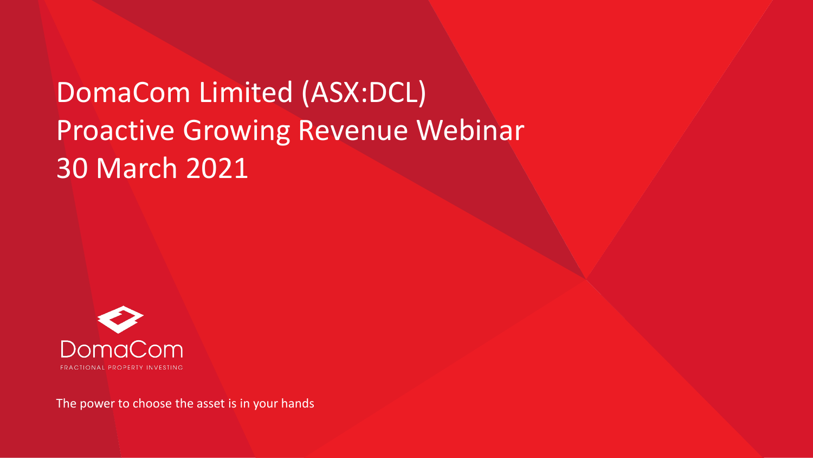# DomaCom Limited (ASX:DCL) Proactive Growing Revenue Webinar 30 March 2021



The power to choose the asset is in your hands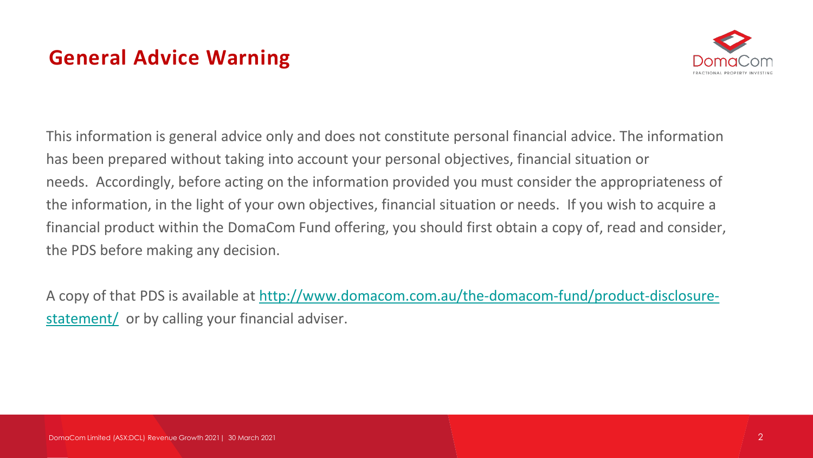# **General Advice Warning**



This information is general advice only and does not constitute personal financial advice. The information has been prepared without taking into account your personal objectives, financial situation or needs. Accordingly, before acting on the information provided you must consider the appropriateness of the information, in the light of your own objectives, financial situation or needs. If you wish to acquire a financial product within the DomaCom Fund offering, you should first obtain a copy of, read and consider, the PDS before making any decision.

[A copy of that PDS is available at http://www.domacom.com.au/the-domacom-fund/product-disclosure](https://domacom.com.au/the-domacom-fund/product-disclosure-statement/)statement/ or by calling your financial adviser.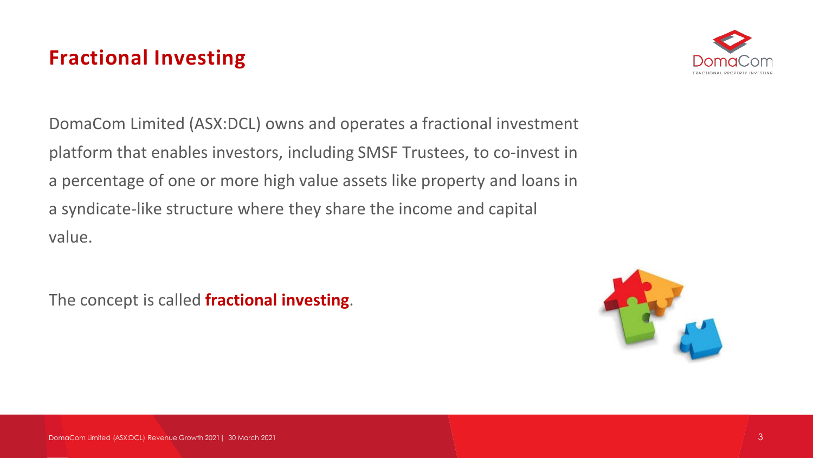### **Fractional Investing**



DomaCom Limited (ASX:DCL) owns and operates a fractional investment platform that enables investors, including SMSF Trustees, to co-invest in a percentage of one or more high value assets like property and loans in a syndicate-like structure where they share the income and capital value.

The concept is called **fractional investing**.

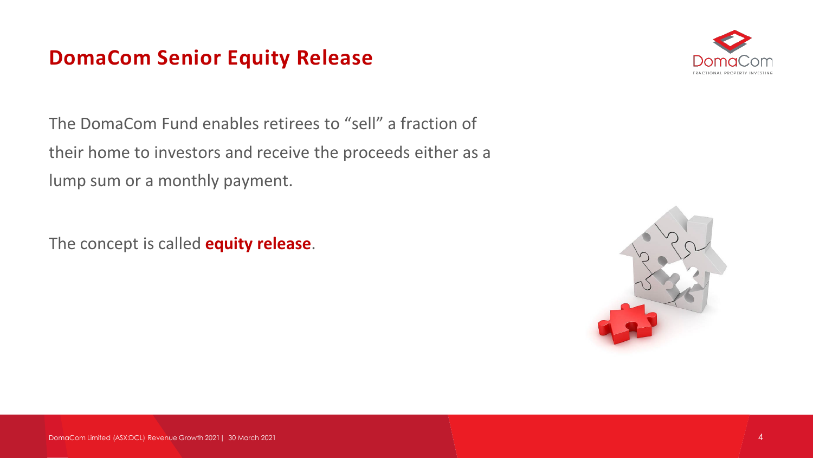### **DomaCom Senior Equity Release**



The DomaCom Fund enables retirees to "sell" a fraction of their home to investors and receive the proceeds either as a lump sum or a monthly payment.

The concept is called **equity release**.

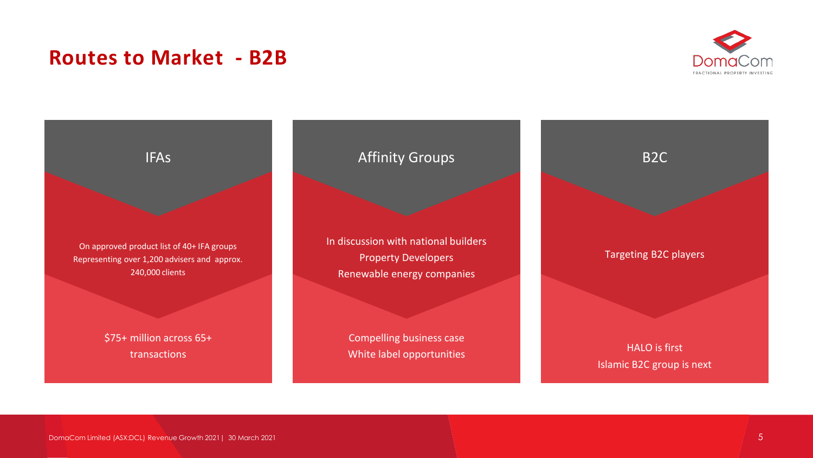### **Routes to Market - B2B**



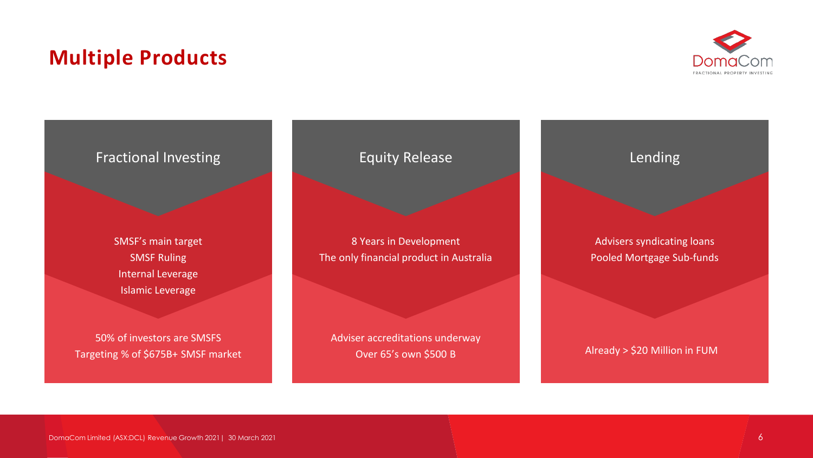### **Multiple Products**



#### Fractional Investing

SMSF's main target SMSF Ruling Internal Leverage Islamic Leverage

50% of investors are SMSFS Targeting % of \$675B+ SMSF market Equity Release

8 Years in Development The only financial product in Australia

Adviser accreditations underway Over 65's own \$500 B



Advisers syndicating loans Pooled Mortgage Sub-funds

Already > \$20 Million in FUM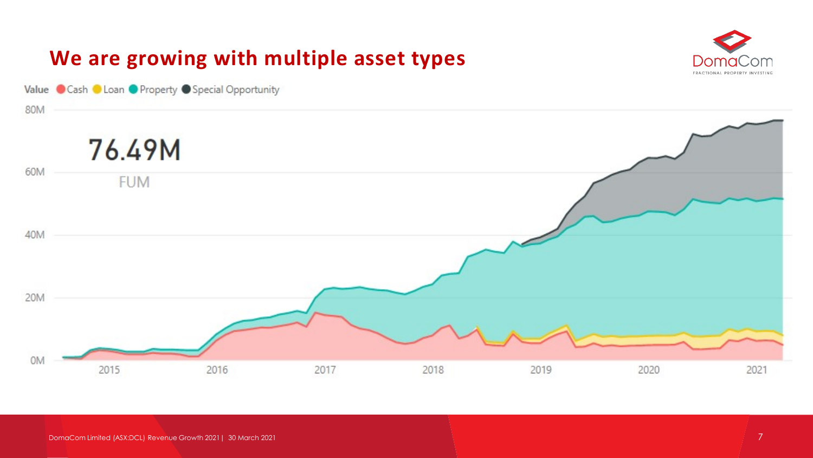

DomaCom Limited (ASX:DCL) Revenue Growth 2021| 30 March 2021 7 | 2021 7 | 2021 7 | 2021 7 | 2021 7 | 2021 7 | 2021 7 | 2021 7 | 2021 7 | 2021 7 | 2021 7 | 2021 7 | 2021 7 | 2021 7 | 2021 7 | 2021 7 | 2021 7 | 2021 7 | 2021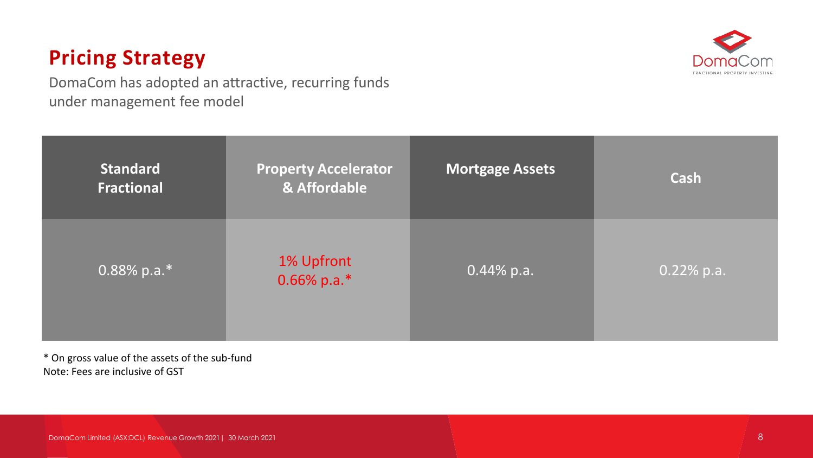### **Pricing Strategy**

DomaCom has adopted an attractive, recurring funds under management fee model



\* On gross value of the assets of the sub-fund Note: Fees are inclusive of GST

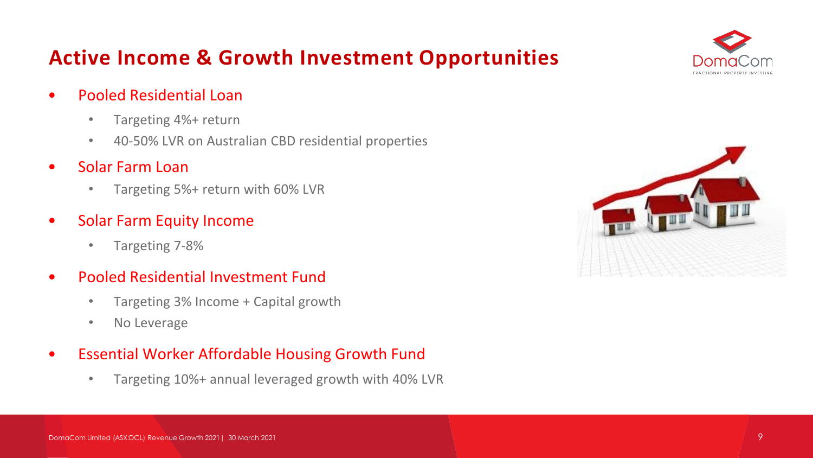# **Active Income & Growth Investment Opportunities**



- Pooled Residential Loan
	- Targeting 4%+ return
	- 40-50% LVR on Australian CBD residential properties
- Solar Farm Loan
	- Targeting 5%+ return with 60% LVR
- Solar Farm Equity Income
	- Targeting 7-8%
- Pooled Residential Investment Fund
	- Targeting 3% Income + Capital growth
	- No Leverage

### • Essential Worker Affordable Housing Growth Fund

• Targeting 10%+ annual leveraged growth with 40% LVR

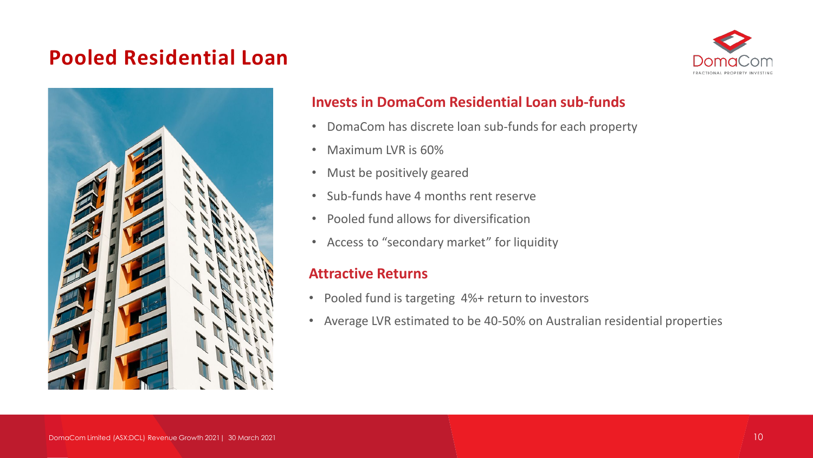### **Pooled Residential Loan**





#### **Invests in DomaCom Residential Loan sub-funds**

- DomaCom has discrete loan sub-funds for each property
- Maximum LVR is 60%
- Must be positively geared
- Sub-funds have 4 months rent reserve
- Pooled fund allows for diversification
- Access to "secondary market" for liquidity

#### **Attractive Returns**

- Pooled fund is targeting 4%+ return to investors
- Average LVR estimated to be 40-50% on Australian residential properties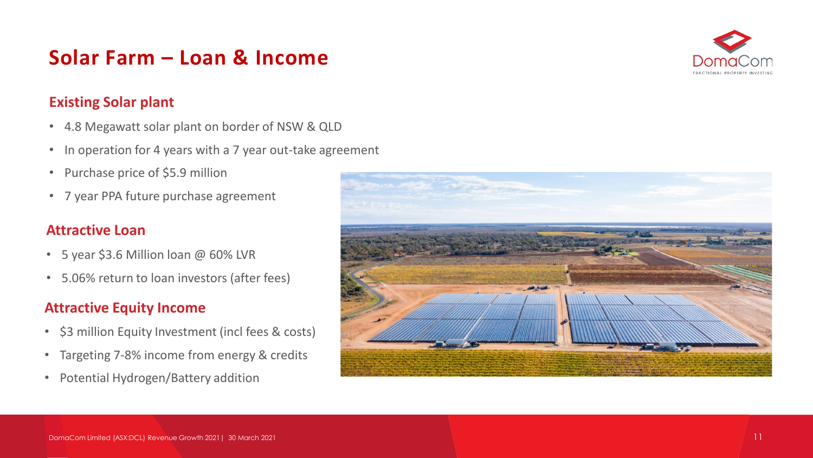### **Solar Farm – Loan & Income**



#### **Existing Solar plant**

- 4.8 Megawatt solar plant on border of NSW & QLD
- In operation for 4 years with a 7 year out-take agreement
- Purchase price of \$5.9 million
- 7 year PPA future purchase agreement

#### **Attractive Loan**

- 5 year \$3.6 Million loan @ 60% LVR
- 5.06% return to loan investors (after fees)

#### **Attractive Equity Income**

- \$3 million Equity Investment (incl fees & costs)
- Targeting 7-8% income from energy & credits
- Potential Hydrogen/Battery addition

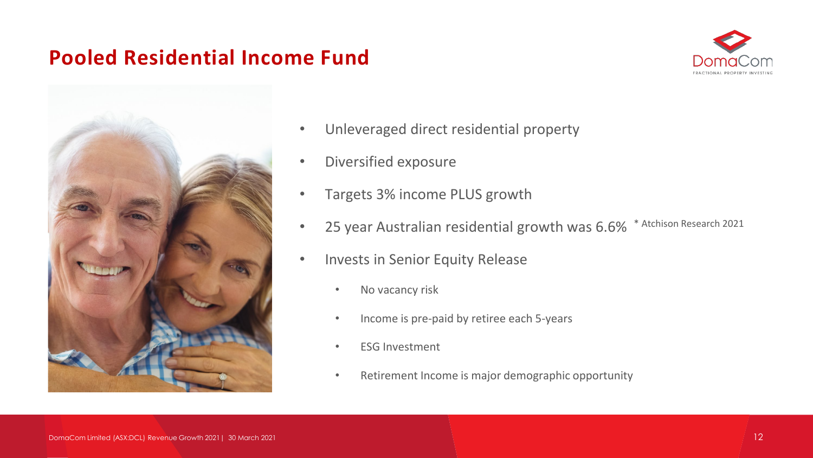### **Pooled Residential Income Fund**





- Unleveraged direct residential property
- Diversified exposure
- Targets 3% income PLUS growth
- 25 year Australian residential growth was 6.6% \* Atchison Research 2021
- Invests in Senior Equity Release
	- No vacancy risk
	- Income is pre-paid by retiree each 5-years
	- **ESG Investment**
	- Retirement Income is major demographic opportunity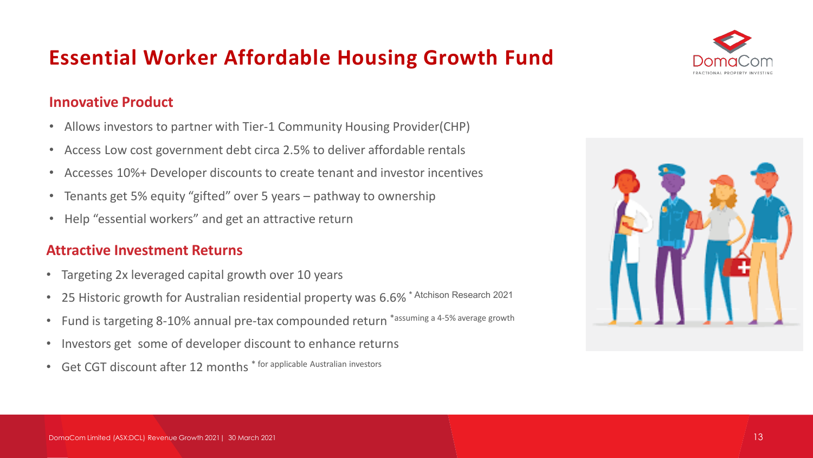### **Essential Worker Affordable Housing Growth Fund**

#### **Innovative Product**

- Allows investors to partner with Tier-1 Community Housing Provider(CHP)
- Access Low cost government debt circa 2.5% to deliver affordable rentals
- Accesses 10%+ Developer discounts to create tenant and investor incentives
- Tenants get 5% equity "gifted" over 5 years pathway to ownership
- Help "essential workers" and get an attractive return

#### **Attractive Investment Returns**

- Targeting 2x leveraged capital growth over 10 years
- 25 Historic growth for Australian residential property was 6.6%<sup>\*</sup> Atchison Research 2021
- Fund is targeting 8-10% annual pre-tax compounded return \*assuming a 4-5% average growth
- Investors get some of developer discount to enhance returns
- Get CGT discount after 12 months \* for applicable Australian investors



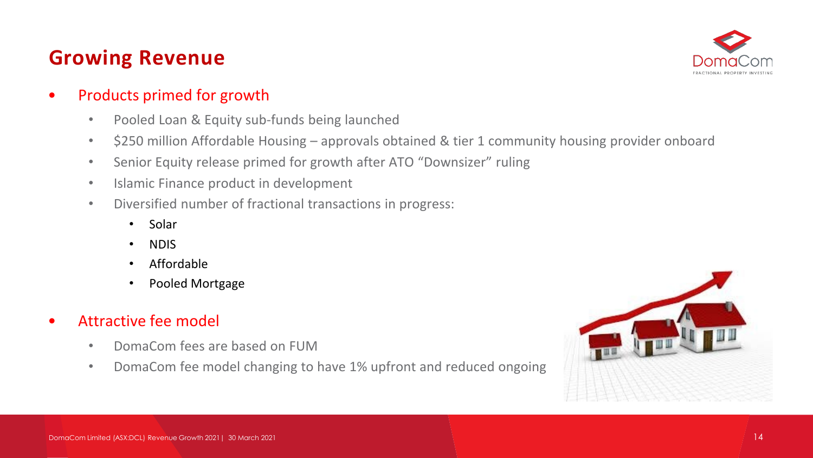# **Growing Revenue**



### • Products primed for growth

- Pooled Loan & Equity sub-funds being launched
- \$250 million Affordable Housing approvals obtained & tier 1 community housing provider onboard
- Senior Equity release primed for growth after ATO "Downsizer" ruling
- Islamic Finance product in development
- Diversified number of fractional transactions in progress:
	- Solar
	- NDIS
	- Affordable
	- Pooled Mortgage
- Attractive fee model
	- DomaCom fees are based on FUM
	- DomaCom fee model changing to have 1% upfront and reduced ongoing

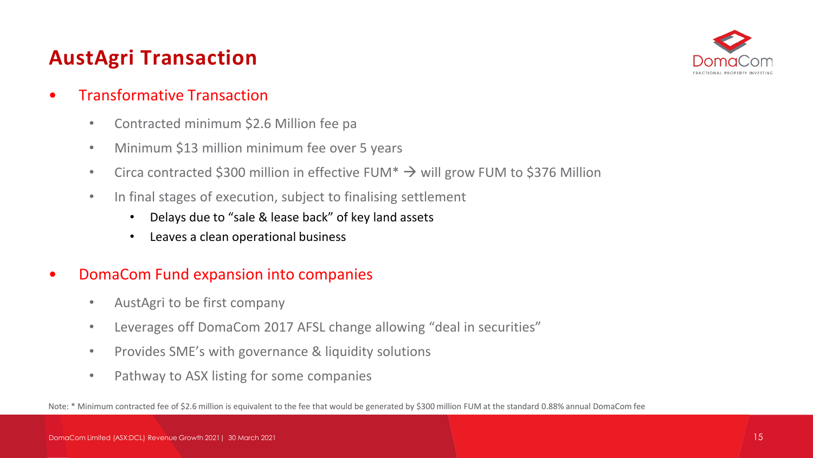# **AustAgri Transaction**



- Transformative Transaction
	- Contracted minimum \$2.6 Million fee pa
	- Minimum \$13 million minimum fee over 5 years
	- Circa contracted \$300 million in effective FUM $* \rightarrow$  will grow FUM to \$376 Million
	- In final stages of execution, subject to finalising settlement
		- Delays due to "sale & lease back" of key land assets
		- Leaves a clean operational business
- DomaCom Fund expansion into companies
	- AustAgri to be first company
	- Leverages off DomaCom 2017 AFSL change allowing "deal in securities"
	- Provides SME's with governance & liquidity solutions
	- Pathway to ASX listing for some companies

Note: \* Minimum contracted fee of \$2.6 million is equivalent to the fee that would be generated by \$300 million FUM at the standard 0.88% annual DomaCom fee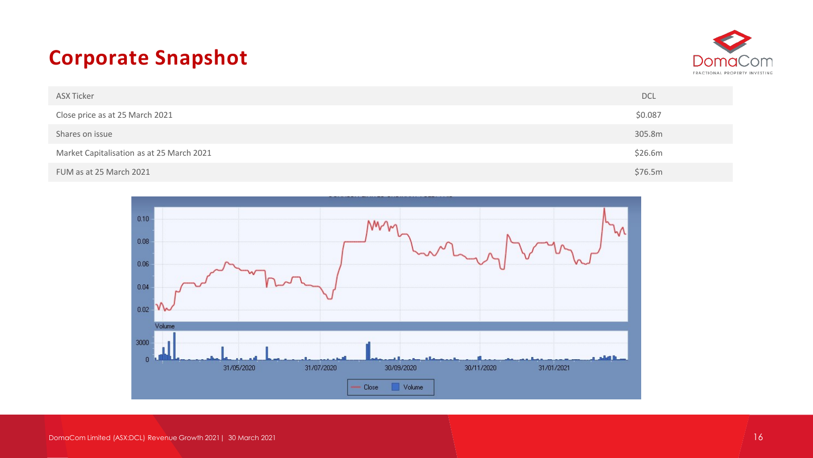### **Corporate Snapshot**



| ASX Ticker                                | <b>DCL</b> |
|-------------------------------------------|------------|
| Close price as at 25 March 2021           | \$0.087    |
| Shares on issue                           | 305.8m     |
| Market Capitalisation as at 25 March 2021 | \$26.6m    |
| FUM as at 25 March 2021                   | \$76.5m    |

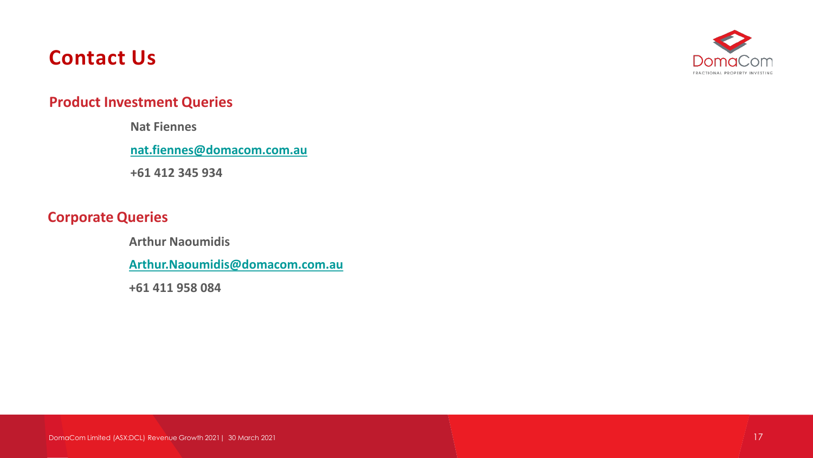### **Contact Us**



#### **Product Investment Queries**

**Nat Fiennes** 

**[nat.fiennes@domacom.com.au](mailto:nat.fiennes@domacom.com.au)**

**+61 412 345 934**

#### **Corporate Queries**

**Arthur Naoumidis**

**[Arthur.Naoumidis@domacom.com.au](mailto:Arthur.Naoumidis@domacom.com.au)**

**+61 411 958 084**